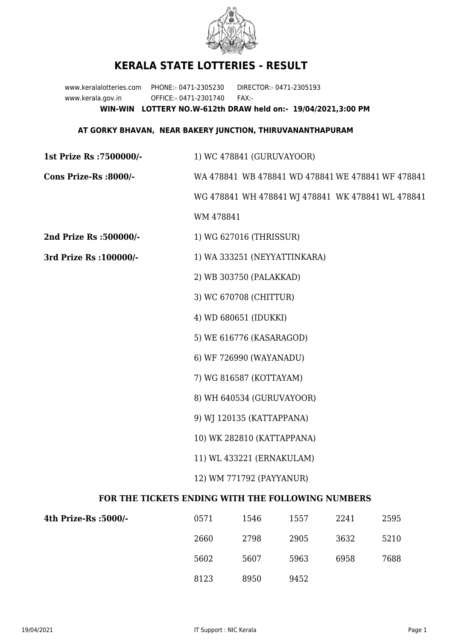

## **KERALA STATE LOTTERIES - RESULT**

www.keralalotteries.com PHONE:- 0471-2305230 DIRECTOR:- 0471-2305193 www.kerala.gov.in OFFICE:- 0471-2301740 FAX:- **WIN-WIN LOTTERY NO.W-612th DRAW held on:- 19/04/2021,3:00 PM**

## **AT GORKY BHAVAN, NEAR BAKERY JUNCTION, THIRUVANANTHAPURAM**

**1st Prize Rs :7500000/-** 1) WC 478841 (GURUVAYOOR) **Cons Prize-Rs :8000/-** WA 478841 WB 478841 WD 478841 WE 478841 WF 478841 WG 478841 WH 478841 WJ 478841 WK 478841 WL 478841 WM 478841 **2nd Prize Rs :500000/-** 1) WG 627016 (THRISSUR) **3rd Prize Rs :100000/-** 1) WA 333251 (NEYYATTINKARA) 2) WB 303750 (PALAKKAD) 3) WC 670708 (CHITTUR) 4) WD 680651 (IDUKKI) 5) WE 616776 (KASARAGOD) 6) WF 726990 (WAYANADU) 7) WG 816587 (KOTTAYAM) 8) WH 640534 (GURUVAYOOR) 9) WJ 120135 (KATTAPPANA) 10) WK 282810 (KATTAPPANA) 11) WL 433221 (ERNAKULAM) 12) WM 771792 (PAYYANUR) **FOR THE TICKETS ENDING WITH THE FOLLOWING NUMBERS**

| 4th Prize-Rs :5000/- | 0571 | 1546 | 1557 | 2241 | 2595 |
|----------------------|------|------|------|------|------|
|                      | 2660 | 2798 | 2905 | 3632 | 5210 |
|                      | 5602 | 5607 | 5963 | 6958 | 7688 |
|                      | 8123 | 8950 | 9452 |      |      |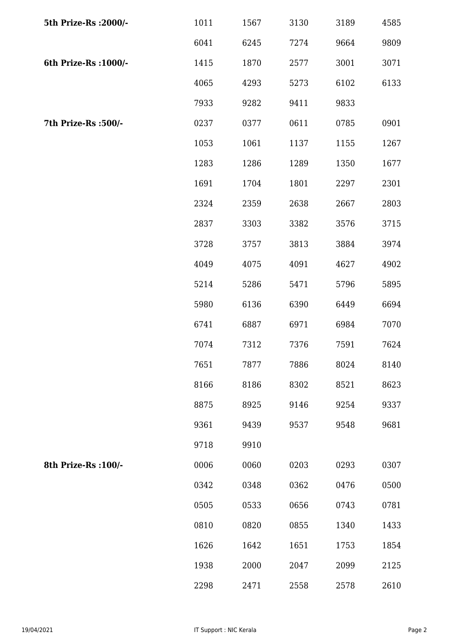| 5th Prize-Rs : 2000/- | 1011 | 1567 | 3130 | 3189 | 4585 |
|-----------------------|------|------|------|------|------|
|                       | 6041 | 6245 | 7274 | 9664 | 9809 |
| 6th Prize-Rs : 1000/- | 1415 | 1870 | 2577 | 3001 | 3071 |
|                       | 4065 | 4293 | 5273 | 6102 | 6133 |
|                       | 7933 | 9282 | 9411 | 9833 |      |
| 7th Prize-Rs :500/-   | 0237 | 0377 | 0611 | 0785 | 0901 |
|                       | 1053 | 1061 | 1137 | 1155 | 1267 |
|                       | 1283 | 1286 | 1289 | 1350 | 1677 |
|                       | 1691 | 1704 | 1801 | 2297 | 2301 |
|                       | 2324 | 2359 | 2638 | 2667 | 2803 |
|                       | 2837 | 3303 | 3382 | 3576 | 3715 |
|                       | 3728 | 3757 | 3813 | 3884 | 3974 |
|                       | 4049 | 4075 | 4091 | 4627 | 4902 |
|                       | 5214 | 5286 | 5471 | 5796 | 5895 |
|                       | 5980 | 6136 | 6390 | 6449 | 6694 |
|                       | 6741 | 6887 | 6971 | 6984 | 7070 |
|                       | 7074 | 7312 | 7376 | 7591 | 7624 |
|                       | 7651 | 7877 | 7886 | 8024 | 8140 |
|                       | 8166 | 8186 | 8302 | 8521 | 8623 |
|                       | 8875 | 8925 | 9146 | 9254 | 9337 |
|                       | 9361 | 9439 | 9537 | 9548 | 9681 |
|                       | 9718 | 9910 |      |      |      |
| 8th Prize-Rs : 100/-  | 0006 | 0060 | 0203 | 0293 | 0307 |
|                       | 0342 | 0348 | 0362 | 0476 | 0500 |
|                       | 0505 | 0533 | 0656 | 0743 | 0781 |
|                       | 0810 | 0820 | 0855 | 1340 | 1433 |
|                       | 1626 | 1642 | 1651 | 1753 | 1854 |
|                       | 1938 | 2000 | 2047 | 2099 | 2125 |
|                       | 2298 | 2471 | 2558 | 2578 | 2610 |